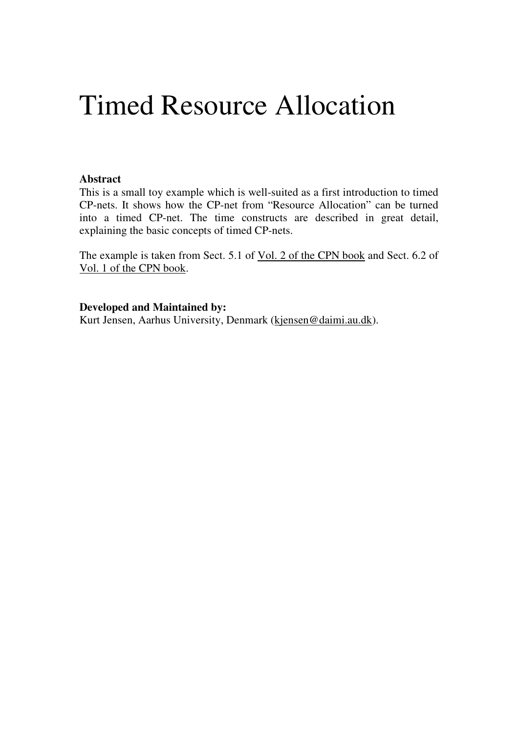## Timed Resource Allocation

## **Abstract**

This is a small toy example which is well-suited as a first introduction to timed CP-nets. It shows how the CP-net from "Resource Allocation" can be turned into a timed CP-net. The time constructs are described in great detail, explaining the basic concepts of timed CP-nets.

The example is taken from Sect. 5.1 of Vol. 2 of the CPN book and Sect. 6.2 of Vol. 1 of the CPN book.

## Developed and Maintained by:

Kurt Jensen, Aarhus University, Denmark (kjensen@daimi.au.dk).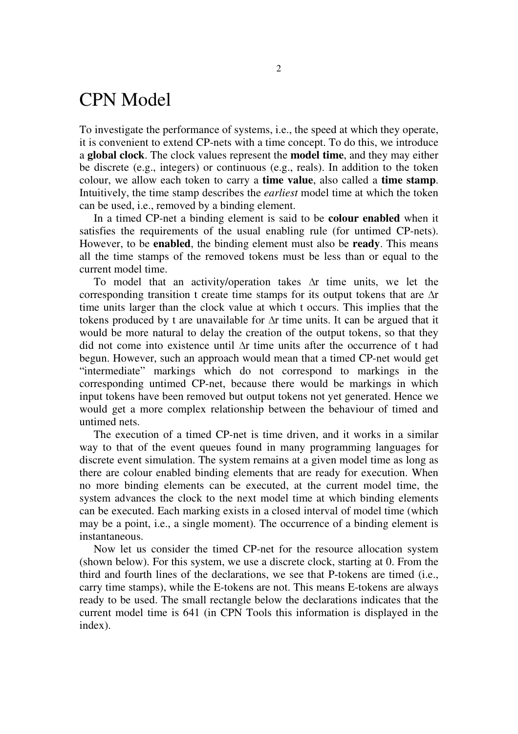## CPN Model

To investigate the performance of systems, i.e., the speed at which they operate, it is convenient to extend CP-nets with a time concept. To do this, we introduce a global clock. The clock values represent the model time, and they may either be discrete (e.g., integers) or continuous (e.g., reals). In addition to the token colour, we allow each token to carry a time value, also called a time stamp. Intuitively, the time stamp describes the *earliest* model time at which the token can be used, i.e., removed by a binding element.

In a timed CP-net a binding element is said to be colour enabled when it satisfies the requirements of the usual enabling rule (for untimed CP-nets). However, to be **enabled**, the binding element must also be **ready**. This means all the time stamps of the removed tokens must be less than or equal to the current model time.

To model that an activity/operation takes  $\Delta r$  time units, we let the corresponding transition t create time stamps for its output tokens that are  $\Delta r$ time units larger than the clock value at which t occurs. This implies that the tokens produced by t are unavailable for  $\Delta r$  time units. It can be argued that it would be more natural to delay the creation of the output tokens, so that they did not come into existence until  $\Delta r$  time units after the occurrence of t had begun. However, such an approach would mean that a timed CP-net would get "intermediate" markings which do not correspond to markings in the corresponding untimed CP-net, because there would be markings in which input tokens have been removed but output tokens not yet generated. Hence we would get a more complex relationship between the behaviour of timed and untimed nets.

The execution of a timed CP-net is time driven, and it works in a similar way to that of the event queues found in many programming languages for discrete event simulation. The system remains at a given model time as long as there are colour enabled binding elements that are ready for execution. When no more binding elements can be executed, at the current model time, the system advances the clock to the next model time at which binding elements can be executed. Each marking exists in a closed interval of model time (which may be a point, i.e., a single moment). The occurrence of a binding element is instantaneous.

Now let us consider the timed CP-net for the resource allocation system (shown below). For this system, we use a discrete clock, starting at 0. From the third and fourth lines of the declarations, we see that P-tokens are timed (i.e., carry time stamps), while the E-tokens are not. This means E-tokens are always ready to be used. The small rectangle below the declarations indicates that the current model time is 641 (in CPN Tools this information is displayed in the index).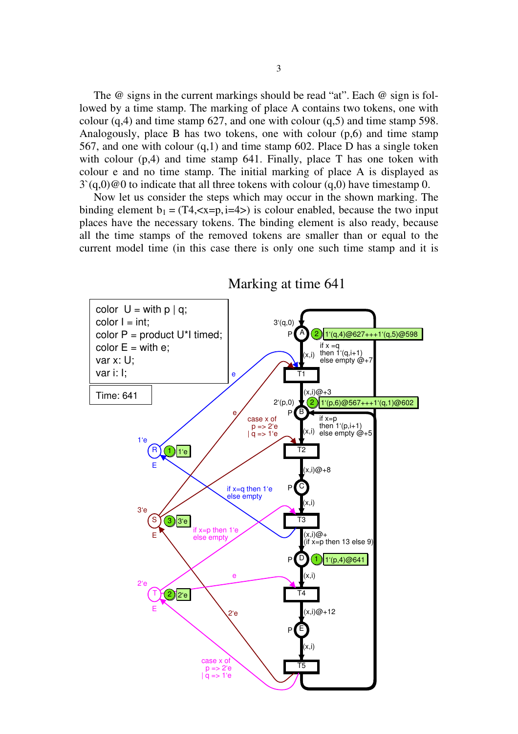The  $\omega$  signs in the current markings should be read "at". Each  $\omega$  sign is followed by a time stamp. The marking of place A contains two tokens, one with colour  $(q, 4)$  and time stamp 627, and one with colour  $(q, 5)$  and time stamp 598. Analogously, place B has two tokens, one with colour (p,6) and time stamp 567, and one with colour (q,1) and time stamp 602. Place D has a single token with colour  $(p, 4)$  and time stamp 641. Finally, place T has one token with colour e and no time stamp. The initial marking of place A is displayed as  $3^{\circ}(q,0)@0$  to indicate that all three tokens with colour  $(q,0)$  have timestamp 0.

Now let us consider the steps which may occur in the shown marking. The binding element  $b_1 = (T4, \langle x=p, i=4 \rangle)$  is colour enabled, because the two input places have the necessary tokens. The binding element is also ready, because all the time stamps of the removed tokens are smaller than or equal to the current model time (in this case there is only one such time stamp and it is



Marking at time 641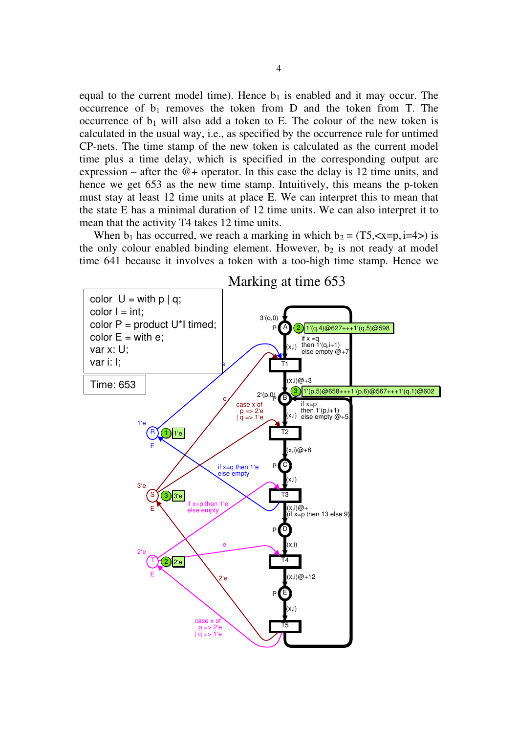equal to the current model time). Hence  $b_1$  is enabled and it may occur. The occurrence of  $b_1$  removes the token from D and the token from T. The occurrence of  $b_1$  will also add a token to E. The colour of the new token is calculated in the usual way, i.e., as specified by the occurrence rule for untimed CP-nets. The time stamp of the new token is calculated as the current model time plus a time delay, which is specified in the corresponding output arc expression – after the  $@+$  operator. In this case the delay is 12 time units, and hence we get 653 as the new time stamp. Intuitively, this means the p-token must stay at least 12 time units at place E. We can interpret this to mean that the state E has a minimal duration of 12 time units. We can also interpret it to mean that the activity T4 takes 12 time units.

When  $b_1$  has occurred, we reach a marking in which  $b_2 = (T5, \langle x=p, i=4 \rangle)$  is the only colour enabled binding element. However,  $b_2$  is not ready at model time 641 because it involves a token with a too-high time stamp. Hence we



Marking at time 653